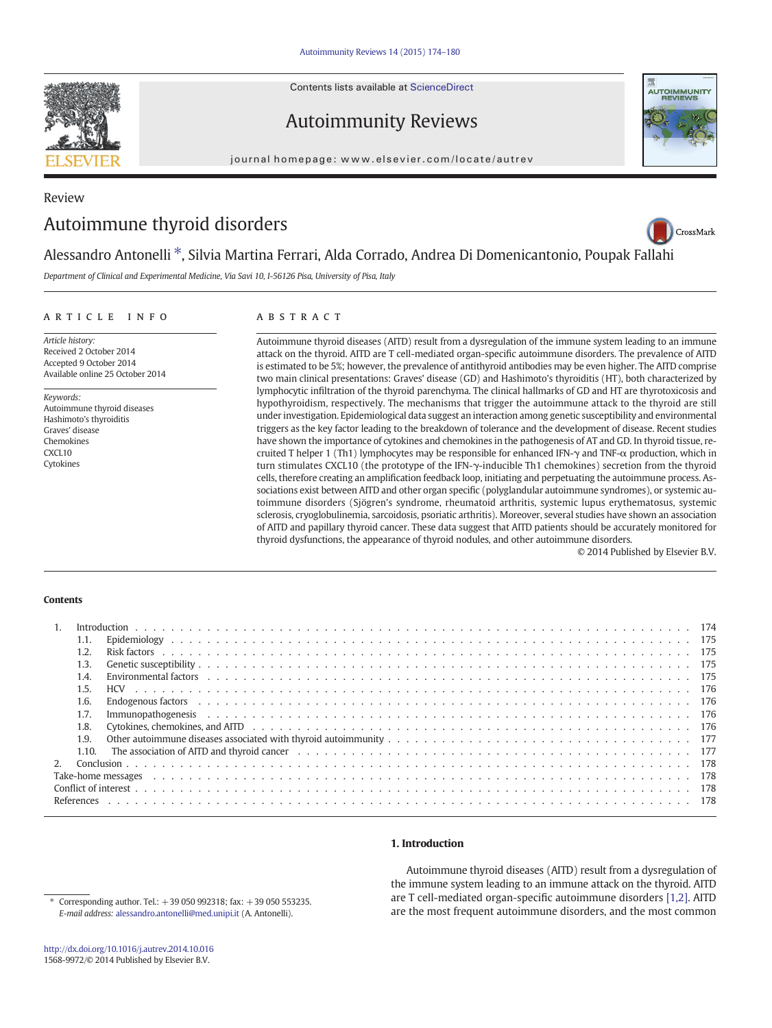Contents lists available at ScienceDirect

# Autoimmunity Reviews

journal homepage:<www.elsevier.com/locate/autrev>

# Review Autoimmune thyroid disorders



Department of Clinical and Experimental Medicine, Via Savi 10, I-56126 Pisa, University of Pisa, Italy

#### article info abstract

Article history: Received 2 October 2014 Accepted 9 October 2014 Available online 25 October 2014

Keywords: Autoimmune thyroid diseases Hashimoto's thyroiditis Graves' disease Chemokines CXCL10 Cytokines

Autoimmune thyroid diseases (AITD) result from a dysregulation of the immune system leading to an immune attack on the thyroid. AITD are T cell-mediated organ-specific autoimmune disorders. The prevalence of AITD is estimated to be 5%; however, the prevalence of antithyroid antibodies may be even higher. The AITD comprise two main clinical presentations: Graves' disease (GD) and Hashimoto's thyroiditis (HT), both characterized by lymphocytic infiltration of the thyroid parenchyma. The clinical hallmarks of GD and HT are thyrotoxicosis and hypothyroidism, respectively. The mechanisms that trigger the autoimmune attack to the thyroid are still under investigation. Epidemiological data suggest an interaction among genetic susceptibility and environmental triggers as the key factor leading to the breakdown of tolerance and the development of disease. Recent studies have shown the importance of cytokines and chemokines in the pathogenesis of AT and GD. In thyroid tissue, recruited T helper 1 (Th1) lymphocytes may be responsible for enhanced IFN-γ and TNF-α production, which in turn stimulates CXCL10 (the prototype of the IFN-γ-inducible Th1 chemokines) secretion from the thyroid cells, therefore creating an amplification feedback loop, initiating and perpetuating the autoimmune process. Associations exist between AITD and other organ specific (polyglandular autoimmune syndromes), or systemic autoimmune disorders (Sjögren's syndrome, rheumatoid arthritis, systemic lupus erythematosus, systemic sclerosis, cryoglobulinemia, sarcoidosis, psoriatic arthritis). Moreover, several studies have shown an association of AITD and papillary thyroid cancer. These data suggest that AITD patients should be accurately monitored for thyroid dysfunctions, the appearance of thyroid nodules, and other autoimmune disorders.

© 2014 Published by Elsevier B.V.

### **Contents**

| $\overline{1}$ .                                                                                                                                                                                                                       |  |
|----------------------------------------------------------------------------------------------------------------------------------------------------------------------------------------------------------------------------------------|--|
| 1.1.                                                                                                                                                                                                                                   |  |
| 1.2.                                                                                                                                                                                                                                   |  |
| 1.3.                                                                                                                                                                                                                                   |  |
| 1.4.                                                                                                                                                                                                                                   |  |
| 1.5.                                                                                                                                                                                                                                   |  |
| 1.6.                                                                                                                                                                                                                                   |  |
| 1.7.                                                                                                                                                                                                                                   |  |
| Cytokines, chemokines, and AITD et al., and et al., and et al., and et al., and et al., and et al., and are provided in the Cytokines, chemokines, and AITD et al., and et al., and et al., and et al., and et al., and the Cy<br>1.8. |  |
| 1.9.                                                                                                                                                                                                                                   |  |
|                                                                                                                                                                                                                                        |  |
| $2^{\circ}$                                                                                                                                                                                                                            |  |
|                                                                                                                                                                                                                                        |  |
|                                                                                                                                                                                                                                        |  |
|                                                                                                                                                                                                                                        |  |

# 1. Introduction

Autoimmune thyroid diseases (AITD) result from a dysregulation of the immune system leading to an immune attack on the thyroid. AITD are T cell-mediated organ-specific autoimmune disorders [\[1,2\].](#page-4-0) AITD are the most frequent autoimmune disorders, and the most common

⁎ Corresponding author. Tel.: +39 050 992318; fax: +39 050 553235. E-mail address: [alessandro.antonelli@med.unipi.it](mailto:alessandro.antonelli@med.unipi.it) (A. Antonelli).



CrossMark

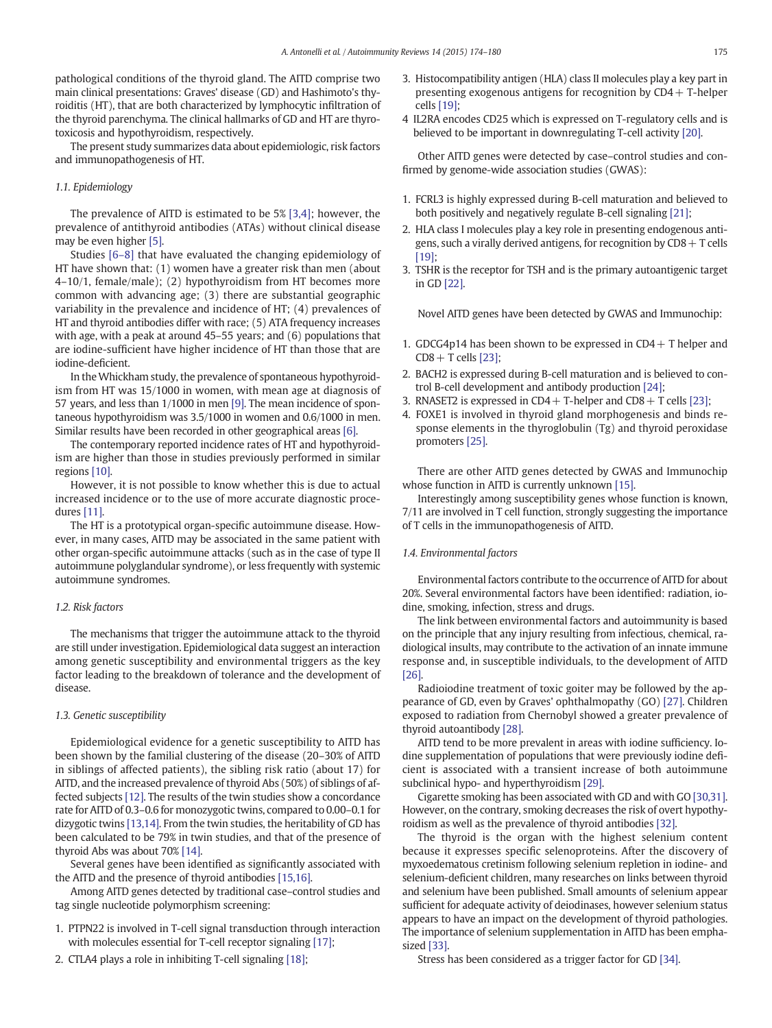pathological conditions of the thyroid gland. The AITD comprise two main clinical presentations: Graves' disease (GD) and Hashimoto's thyroiditis (HT), that are both characterized by lymphocytic infiltration of the thyroid parenchyma. The clinical hallmarks of GD and HT are thyrotoxicosis and hypothyroidism, respectively.

The present study summarizes data about epidemiologic, risk factors and immunopathogenesis of HT.

### 1.1. Epidemiology

The prevalence of AITD is estimated to be 5% [\[3,4\];](#page-4-0) however, the prevalence of antithyroid antibodies (ATAs) without clinical disease may be even higher [\[5\].](#page-4-0)

Studies [\[6](#page-4-0)–8] that have evaluated the changing epidemiology of HT have shown that: (1) women have a greater risk than men (about 4–10/1, female/male); (2) hypothyroidism from HT becomes more common with advancing age; (3) there are substantial geographic variability in the prevalence and incidence of HT; (4) prevalences of HT and thyroid antibodies differ with race; (5) ATA frequency increases with age, with a peak at around 45–55 years; and (6) populations that are iodine-sufficient have higher incidence of HT than those that are iodine-deficient.

In theWhickham study, the prevalence of spontaneous hypothyroidism from HT was 15/1000 in women, with mean age at diagnosis of 57 years, and less than 1/1000 in men [\[9\]](#page-4-0). The mean incidence of spontaneous hypothyroidism was 3.5/1000 in women and 0.6/1000 in men. Similar results have been recorded in other geographical areas [\[6\].](#page-4-0)

The contemporary reported incidence rates of HT and hypothyroidism are higher than those in studies previously performed in similar regions [\[10\]](#page-4-0).

However, it is not possible to know whether this is due to actual increased incidence or to the use of more accurate diagnostic procedures [\[11\].](#page-4-0)

The HT is a prototypical organ-specific autoimmune disease. However, in many cases, AITD may be associated in the same patient with other organ-specific autoimmune attacks (such as in the case of type II autoimmune polyglandular syndrome), or less frequently with systemic autoimmune syndromes.

#### 1.2. Risk factors

The mechanisms that trigger the autoimmune attack to the thyroid are still under investigation. Epidemiological data suggest an interaction among genetic susceptibility and environmental triggers as the key factor leading to the breakdown of tolerance and the development of disease.

### 1.3. Genetic susceptibility

Epidemiological evidence for a genetic susceptibility to AITD has been shown by the familial clustering of the disease (20–30% of AITD in siblings of affected patients), the sibling risk ratio (about 17) for AITD, and the increased prevalence of thyroid Abs (50%) of siblings of affected subjects [\[12\].](#page-4-0) The results of the twin studies show a concordance rate for AITD of 0.3–0.6 for monozygotic twins, compared to 0.00–0.1 for dizygotic twins [\[13,14\].](#page-4-0) From the twin studies, the heritability of GD has been calculated to be 79% in twin studies, and that of the presence of thyroid Abs was about 70% [\[14\].](#page-4-0)

Several genes have been identified as significantly associated with the AITD and the presence of thyroid antibodies [\[15,16\]](#page-4-0).

Among AITD genes detected by traditional case–control studies and tag single nucleotide polymorphism screening:

- 1. PTPN22 is involved in T-cell signal transduction through interaction with molecules essential for T-cell receptor signaling [\[17\];](#page-4-0)
- 2. CTLA4 plays a role in inhibiting T-cell signaling [\[18\]](#page-4-0);
- 3. Histocompatibility antigen (HLA) class II molecules play a key part in presenting exogenous antigens for recognition by  $CD4 + T$ -helper cells [\[19\];](#page-4-0)
- 4 IL2RA encodes CD25 which is expressed on T-regulatory cells and is believed to be important in downregulating T-cell activity [\[20\].](#page-4-0)

Other AITD genes were detected by case–control studies and confirmed by genome-wide association studies (GWAS):

- 1. FCRL3 is highly expressed during B-cell maturation and believed to both positively and negatively regulate B-cell signaling [\[21\]](#page-4-0);
- 2. HLA class I molecules play a key role in presenting endogenous antigens, such a virally derived antigens, for recognition by  $CDS + T$  cells  $[19]$
- 3. TSHR is the receptor for TSH and is the primary autoantigenic target in GD [\[22\]](#page-4-0).

Novel AITD genes have been detected by GWAS and Immunochip:

- 1. GDCG4p14 has been shown to be expressed in  $CD4 + T$  helper and  $CD8 + T$  cells [\[23\]](#page-4-0);
- 2. BACH2 is expressed during B-cell maturation and is believed to control B-cell development and antibody production [\[24\];](#page-4-0)
- 3. RNASET2 is expressed in  $CD4 + T$ -helper and  $CD8 + T$  cells [\[23\]](#page-4-0);
- 4. FOXE1 is involved in thyroid gland morphogenesis and binds response elements in the thyroglobulin (Tg) and thyroid peroxidase promoters [\[25\].](#page-4-0)

There are other AITD genes detected by GWAS and Immunochip whose function in AITD is currently unknown [\[15\].](#page-4-0)

Interestingly among susceptibility genes whose function is known, 7/11 are involved in T cell function, strongly suggesting the importance of T cells in the immunopathogenesis of AITD.

### 1.4. Environmental factors

Environmental factors contribute to the occurrence of AITD for about 20%. Several environmental factors have been identified: radiation, iodine, smoking, infection, stress and drugs.

The link between environmental factors and autoimmunity is based on the principle that any injury resulting from infectious, chemical, radiological insults, may contribute to the activation of an innate immune response and, in susceptible individuals, to the development of AITD [26]

Radioiodine treatment of toxic goiter may be followed by the appearance of GD, even by Graves' ophthalmopathy (GO) [\[27\].](#page-4-0) Children exposed to radiation from Chernobyl showed a greater prevalence of thyroid autoantibody [\[28\]](#page-4-0).

AITD tend to be more prevalent in areas with iodine sufficiency. Iodine supplementation of populations that were previously iodine deficient is associated with a transient increase of both autoimmune subclinical hypo- and hyperthyroidism [\[29\]](#page-5-0).

Cigarette smoking has been associated with GD and with GO [\[30,31\].](#page-5-0) However, on the contrary, smoking decreases the risk of overt hypothyroidism as well as the prevalence of thyroid antibodies [\[32\].](#page-5-0)

The thyroid is the organ with the highest selenium content because it expresses specific selenoproteins. After the discovery of myxoedematous cretinism following selenium repletion in iodine- and selenium-deficient children, many researches on links between thyroid and selenium have been published. Small amounts of selenium appear sufficient for adequate activity of deiodinases, however selenium status appears to have an impact on the development of thyroid pathologies. The importance of selenium supplementation in AITD has been emphasized [\[33\]](#page-5-0).

Stress has been considered as a trigger factor for GD [\[34\]](#page-5-0).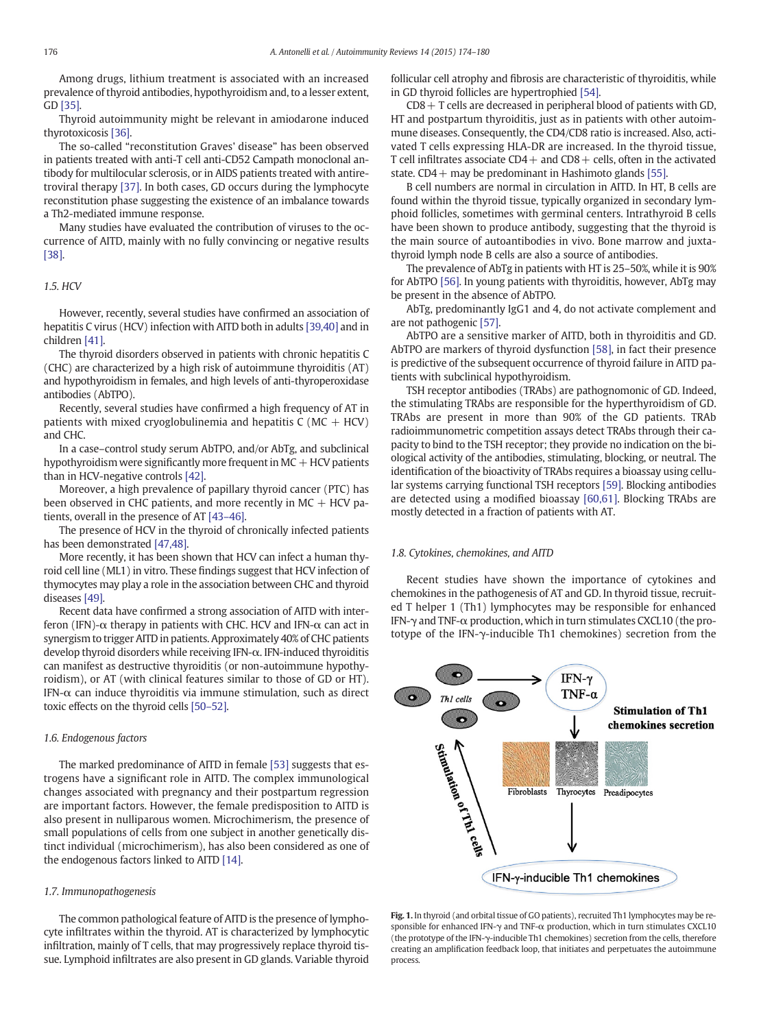<span id="page-2-0"></span>Among drugs, lithium treatment is associated with an increased prevalence of thyroid antibodies, hypothyroidism and, to a lesser extent, GD [\[35\]](#page-5-0).

Thyroid autoimmunity might be relevant in amiodarone induced thyrotoxicosis [\[36\]](#page-5-0).

The so-called "reconstitution Graves' disease" has been observed in patients treated with anti-T cell anti-CD52 Campath monoclonal antibody for multilocular sclerosis, or in AIDS patients treated with antiretroviral therapy [\[37\].](#page-5-0) In both cases, GD occurs during the lymphocyte reconstitution phase suggesting the existence of an imbalance towards a Th2-mediated immune response.

Many studies have evaluated the contribution of viruses to the occurrence of AITD, mainly with no fully convincing or negative results [\[38\]](#page-5-0).

#### 1.5. HCV

However, recently, several studies have confirmed an association of hepatitis C virus (HCV) infection with AITD both in adults [\[39,40\]](#page-5-0) and in children [\[41\]](#page-5-0).

The thyroid disorders observed in patients with chronic hepatitis C (CHC) are characterized by a high risk of autoimmune thyroiditis (AT) and hypothyroidism in females, and high levels of anti-thyroperoxidase antibodies (AbTPO).

Recently, several studies have confirmed a high frequency of AT in patients with mixed cryoglobulinemia and hepatitis  $C (MC + HCV)$ and CHC.

In a case–control study serum AbTPO, and/or AbTg, and subclinical hypothyroidism were significantly more frequent in  $MC + HCV$  patients than in HCV-negative controls [\[42\]](#page-5-0).

Moreover, a high prevalence of papillary thyroid cancer (PTC) has been observed in CHC patients, and more recently in  $MC + HCV$  patients, overall in the presence of AT [43–[46\].](#page-5-0)

The presence of HCV in the thyroid of chronically infected patients has been demonstrated [\[47,48\]](#page-5-0).

More recently, it has been shown that HCV can infect a human thyroid cell line (ML1) in vitro. These findings suggest that HCV infection of thymocytes may play a role in the association between CHC and thyroid diseases [\[49\]](#page-5-0).

Recent data have confirmed a strong association of AITD with interferon (IFN)- $\alpha$  therapy in patients with CHC. HCV and IFN- $\alpha$  can act in synergism to trigger AITD in patients. Approximately 40% of CHC patients develop thyroid disorders while receiving IFN-α. IFN-induced thyroiditis can manifest as destructive thyroiditis (or non-autoimmune hypothyroidism), or AT (with clinical features similar to those of GD or HT). IFN- $\alpha$  can induce thyroiditis via immune stimulation, such as direct toxic effects on the thyroid cells [50–[52\].](#page-5-0)

#### 1.6. Endogenous factors

The marked predominance of AITD in female [\[53\]](#page-5-0) suggests that estrogens have a significant role in AITD. The complex immunological changes associated with pregnancy and their postpartum regression are important factors. However, the female predisposition to AITD is also present in nulliparous women. Microchimerism, the presence of small populations of cells from one subject in another genetically distinct individual (microchimerism), has also been considered as one of the endogenous factors linked to AITD [\[14\].](#page-4-0)

#### 1.7. Immunopathogenesis

The common pathological feature of AITD is the presence of lymphocyte infiltrates within the thyroid. AT is characterized by lymphocytic infiltration, mainly of T cells, that may progressively replace thyroid tissue. Lymphoid infiltrates are also present in GD glands. Variable thyroid follicular cell atrophy and fibrosis are characteristic of thyroiditis, while in GD thyroid follicles are hypertrophied [\[54\].](#page-5-0)

 $CD8 + T$  cells are decreased in peripheral blood of patients with GD, HT and postpartum thyroiditis, just as in patients with other autoimmune diseases. Consequently, the CD4/CD8 ratio is increased. Also, activated T cells expressing HLA-DR are increased. In the thyroid tissue, T cell infiltrates associate  $CD4+$  and  $CD8+$  cells, often in the activated state.  $CD4+$  may be predominant in Hashimoto glands [\[55\].](#page-5-0)

B cell numbers are normal in circulation in AITD. In HT, B cells are found within the thyroid tissue, typically organized in secondary lymphoid follicles, sometimes with germinal centers. Intrathyroid B cells have been shown to produce antibody, suggesting that the thyroid is the main source of autoantibodies in vivo. Bone marrow and juxtathyroid lymph node B cells are also a source of antibodies.

The prevalence of AbTg in patients with HT is 25–50%, while it is 90% for AbTPO [\[56\]](#page-5-0). In young patients with thyroiditis, however, AbTg may be present in the absence of AbTPO.

AbTg, predominantly IgG1 and 4, do not activate complement and are not pathogenic [\[57\].](#page-5-0)

AbTPO are a sensitive marker of AITD, both in thyroiditis and GD. AbTPO are markers of thyroid dysfunction [\[58\],](#page-5-0) in fact their presence is predictive of the subsequent occurrence of thyroid failure in AITD patients with subclinical hypothyroidism.

TSH receptor antibodies (TRAbs) are pathognomonic of GD. Indeed, the stimulating TRAbs are responsible for the hyperthyroidism of GD. TRAbs are present in more than 90% of the GD patients. TRAb radioimmunometric competition assays detect TRAbs through their capacity to bind to the TSH receptor; they provide no indication on the biological activity of the antibodies, stimulating, blocking, or neutral. The identification of the bioactivity of TRAbs requires a bioassay using cellular systems carrying functional TSH receptors [\[59\]](#page-5-0). Blocking antibodies are detected using a modified bioassay [\[60,61\]](#page-5-0). Blocking TRAbs are mostly detected in a fraction of patients with AT.

# 1.8. Cytokines, chemokines, and AITD

Recent studies have shown the importance of cytokines and chemokines in the pathogenesis of AT and GD. In thyroid tissue, recruited T helper 1 (Th1) lymphocytes may be responsible for enhanced IFN-γ and TNF-α production, which in turn stimulates CXCL10 (the prototype of the IFN-γ-inducible Th1 chemokines) secretion from the



Fig. 1. In thyroid (and orbital tissue of GO patients), recruited Th1 lymphocytes may be responsible for enhanced IFN-γ and TNF-α production, which in turn stimulates CXCL10 (the prototype of the IFN-γ-inducible Th1 chemokines) secretion from the cells, therefore creating an amplification feedback loop, that initiates and perpetuates the autoimmune process.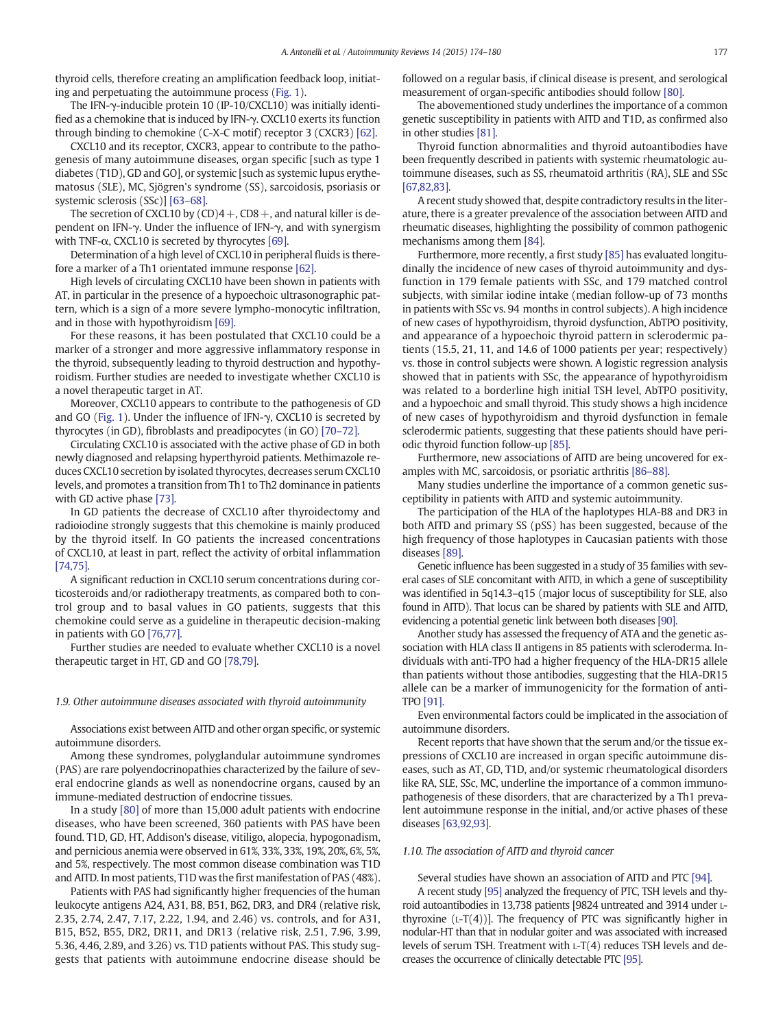thyroid cells, therefore creating an amplification feedback loop, initiating and perpetuating the autoimmune process ([Fig. 1](#page-2-0)).

The IFN-γ-inducible protein 10 (IP-10/CXCL10) was initially identified as a chemokine that is induced by IFN-γ. CXCL10 exerts its function through binding to chemokine (C-X-C motif) receptor 3 (CXCR3) [\[62\]](#page-5-0).

CXCL10 and its receptor, CXCR3, appear to contribute to the pathogenesis of many autoimmune diseases, organ specific [such as type 1 diabetes (T1D), GD and GO], or systemic [such as systemic lupus erythematosus (SLE), MC, Sjögren's syndrome (SS), sarcoidosis, psoriasis or systemic sclerosis (SSc)] [63–[68\].](#page-5-0)

The secretion of CXCL10 by  $(CD)4 + CD8 +$ , and natural killer is dependent on IFN-γ. Under the influence of IFN-γ, and with synergism with TNF- $\alpha$ , CXCL10 is secreted by thyrocytes [\[69\]](#page-5-0).

Determination of a high level of CXCL10 in peripheral fluids is therefore a marker of a Th1 orientated immune response [\[62\]](#page-5-0).

High levels of circulating CXCL10 have been shown in patients with AT, in particular in the presence of a hypoechoic ultrasonographic pattern, which is a sign of a more severe lympho-monocytic infiltration, and in those with hypothyroidism [\[69\]](#page-5-0).

For these reasons, it has been postulated that CXCL10 could be a marker of a stronger and more aggressive inflammatory response in the thyroid, subsequently leading to thyroid destruction and hypothyroidism. Further studies are needed to investigate whether CXCL10 is a novel therapeutic target in AT.

Moreover, CXCL10 appears to contribute to the pathogenesis of GD and GO ([Fig. 1](#page-2-0)). Under the influence of IFN-γ, CXCL10 is secreted by thyrocytes (in GD), fibroblasts and preadipocytes (in GO) [70–[72\].](#page-5-0)

Circulating CXCL10 is associated with the active phase of GD in both newly diagnosed and relapsing hyperthyroid patients. Methimazole reduces CXCL10 secretion by isolated thyrocytes, decreases serum CXCL10 levels, and promotes a transition from Th1 to Th2 dominance in patients with GD active phase [\[73\]](#page-5-0).

In GD patients the decrease of CXCL10 after thyroidectomy and radioiodine strongly suggests that this chemokine is mainly produced by the thyroid itself. In GO patients the increased concentrations of CXCL10, at least in part, reflect the activity of orbital inflammation [\[74,75\]](#page-5-0).

A significant reduction in CXCL10 serum concentrations during corticosteroids and/or radiotherapy treatments, as compared both to control group and to basal values in GO patients, suggests that this chemokine could serve as a guideline in therapeutic decision-making in patients with GO [\[76,77\].](#page-5-0)

Further studies are needed to evaluate whether CXCL10 is a novel therapeutic target in HT, GD and GO [\[78,79\].](#page-5-0)

#### 1.9. Other autoimmune diseases associated with thyroid autoimmunity

Associations exist between AITD and other organ specific, or systemic autoimmune disorders.

Among these syndromes, polyglandular autoimmune syndromes (PAS) are rare polyendocrinopathies characterized by the failure of several endocrine glands as well as nonendocrine organs, caused by an immune-mediated destruction of endocrine tissues.

In a study [\[80\]](#page-5-0) of more than 15,000 adult patients with endocrine diseases, who have been screened, 360 patients with PAS have been found. T1D, GD, HT, Addison's disease, vitiligo, alopecia, hypogonadism, and pernicious anemia were observed in 61%, 33%, 33%, 19%, 20%, 6%, 5%, and 5%, respectively. The most common disease combination was T1D and AITD. In most patients, T1D was the first manifestation of PAS (48%).

Patients with PAS had significantly higher frequencies of the human leukocyte antigens A24, A31, B8, B51, B62, DR3, and DR4 (relative risk, 2.35, 2.74, 2.47, 7.17, 2.22, 1.94, and 2.46) vs. controls, and for A31, B15, B52, B55, DR2, DR11, and DR13 (relative risk, 2.51, 7.96, 3.99, 5.36, 4.46, 2.89, and 3.26) vs. T1D patients without PAS. This study suggests that patients with autoimmune endocrine disease should be followed on a regular basis, if clinical disease is present, and serological measurement of organ-specific antibodies should follow [\[80\]](#page-5-0).

The abovementioned study underlines the importance of a common genetic susceptibility in patients with AITD and T1D, as confirmed also in other studies [\[81\]](#page-5-0).

Thyroid function abnormalities and thyroid autoantibodies have been frequently described in patients with systemic rheumatologic autoimmune diseases, such as SS, rheumatoid arthritis (RA), SLE and SSc [\[67,82,83\]](#page-5-0).

A recent study showed that, despite contradictory results in the literature, there is a greater prevalence of the association between AITD and rheumatic diseases, highlighting the possibility of common pathogenic mechanisms among them [\[84\].](#page-5-0)

Furthermore, more recently, a first study [\[85\]](#page-5-0) has evaluated longitudinally the incidence of new cases of thyroid autoimmunity and dysfunction in 179 female patients with SSc, and 179 matched control subjects, with similar iodine intake (median follow-up of 73 months in patients with SSc vs. 94 months in control subjects). A high incidence of new cases of hypothyroidism, thyroid dysfunction, AbTPO positivity, and appearance of a hypoechoic thyroid pattern in sclerodermic patients (15.5, 21, 11, and 14.6 of 1000 patients per year; respectively) vs. those in control subjects were shown. A logistic regression analysis showed that in patients with SSc, the appearance of hypothyroidism was related to a borderline high initial TSH level, AbTPO positivity, and a hypoechoic and small thyroid. This study shows a high incidence of new cases of hypothyroidism and thyroid dysfunction in female sclerodermic patients, suggesting that these patients should have periodic thyroid function follow-up [\[85\].](#page-5-0)

Furthermore, new associations of AITD are being uncovered for examples with MC, sarcoidosis, or psoriatic arthritis [86–[88\]](#page-5-0).

Many studies underline the importance of a common genetic susceptibility in patients with AITD and systemic autoimmunity.

The participation of the HLA of the haplotypes HLA-B8 and DR3 in both AITD and primary SS (pSS) has been suggested, because of the high frequency of those haplotypes in Caucasian patients with those diseases [\[89\].](#page-5-0)

Genetic influence has been suggested in a study of 35 families with several cases of SLE concomitant with AITD, in which a gene of susceptibility was identified in 5q14.3–q15 (major locus of susceptibility for SLE, also found in AITD). That locus can be shared by patients with SLE and AITD, evidencing a potential genetic link between both diseases [\[90\]](#page-5-0).

Another study has assessed the frequency of ATA and the genetic association with HLA class II antigens in 85 patients with scleroderma. Individuals with anti-TPO had a higher frequency of the HLA-DR15 allele than patients without those antibodies, suggesting that the HLA-DR15 allele can be a marker of immunogenicity for the formation of anti-TPO [\[91\]](#page-6-0).

Even environmental factors could be implicated in the association of autoimmune disorders.

Recent reports that have shown that the serum and/or the tissue expressions of CXCL10 are increased in organ specific autoimmune diseases, such as AT, GD, T1D, and/or systemic rheumatological disorders like RA, SLE, SSc, MC, underline the importance of a common immunopathogenesis of these disorders, that are characterized by a Th1 prevalent autoimmune response in the initial, and/or active phases of these diseases [\[63,92,93\]](#page-5-0).

#### 1.10. The association of AITD and thyroid cancer

Several studies have shown an association of AITD and PTC [\[94\].](#page-6-0)

A recent study [\[95\]](#page-6-0) analyzed the frequency of PTC, TSH levels and thyroid autoantibodies in 13,738 patients [9824 untreated and 3914 under Lthyroxine  $(L-T(4))$ ]. The frequency of PTC was significantly higher in nodular-HT than that in nodular goiter and was associated with increased levels of serum TSH. Treatment with L-T(4) reduces TSH levels and decreases the occurrence of clinically detectable PTC [\[95\].](#page-6-0)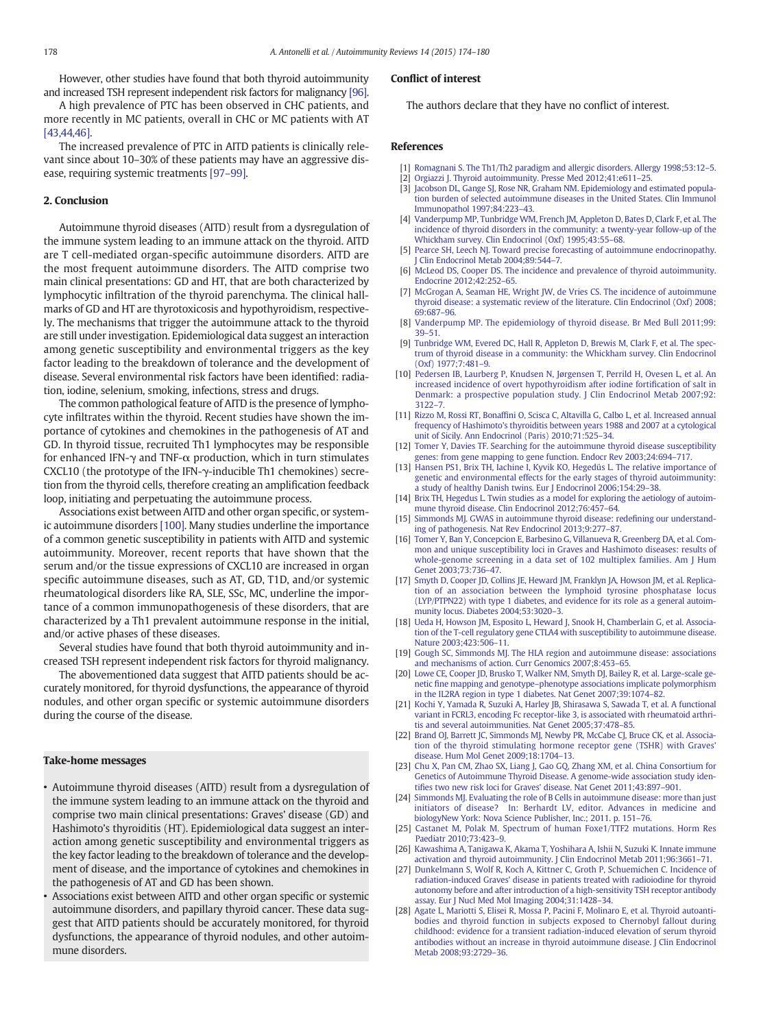<span id="page-4-0"></span>However, other studies have found that both thyroid autoimmunity and increased TSH represent independent risk factors for malignancy [\[96\].](#page-6-0)

A high prevalence of PTC has been observed in CHC patients, and more recently in MC patients, overall in CHC or MC patients with AT [\[43,44,46\]](#page-5-0).

The increased prevalence of PTC in AITD patients is clinically relevant since about 10–30% of these patients may have an aggressive disease, requiring systemic treatments [97–[99\].](#page-6-0)

#### 2. Conclusion

Autoimmune thyroid diseases (AITD) result from a dysregulation of the immune system leading to an immune attack on the thyroid. AITD are T cell-mediated organ-specific autoimmune disorders. AITD are the most frequent autoimmune disorders. The AITD comprise two main clinical presentations: GD and HT, that are both characterized by lymphocytic infiltration of the thyroid parenchyma. The clinical hallmarks of GD and HT are thyrotoxicosis and hypothyroidism, respectively. The mechanisms that trigger the autoimmune attack to the thyroid are still under investigation. Epidemiological data suggest an interaction among genetic susceptibility and environmental triggers as the key factor leading to the breakdown of tolerance and the development of disease. Several environmental risk factors have been identified: radiation, iodine, selenium, smoking, infections, stress and drugs.

The common pathological feature of AITD is the presence of lymphocyte infiltrates within the thyroid. Recent studies have shown the importance of cytokines and chemokines in the pathogenesis of AT and GD. In thyroid tissue, recruited Th1 lymphocytes may be responsible for enhanced IFN- $\gamma$  and TNF- $\alpha$  production, which in turn stimulates CXCL10 (the prototype of the IFN-γ-inducible Th1 chemokines) secretion from the thyroid cells, therefore creating an amplification feedback loop, initiating and perpetuating the autoimmune process.

Associations exist between AITD and other organ specific, or systemic autoimmune disorders [\[100\]](#page-6-0). Many studies underline the importance of a common genetic susceptibility in patients with AITD and systemic autoimmunity. Moreover, recent reports that have shown that the serum and/or the tissue expressions of CXCL10 are increased in organ specific autoimmune diseases, such as AT, GD, T1D, and/or systemic rheumatological disorders like RA, SLE, SSc, MC, underline the importance of a common immunopathogenesis of these disorders, that are characterized by a Th1 prevalent autoimmune response in the initial, and/or active phases of these diseases.

Several studies have found that both thyroid autoimmunity and increased TSH represent independent risk factors for thyroid malignancy.

The abovementioned data suggest that AITD patients should be accurately monitored, for thyroid dysfunctions, the appearance of thyroid nodules, and other organ specific or systemic autoimmune disorders during the course of the disease.

#### Take-home messages

- Autoimmune thyroid diseases (AITD) result from a dysregulation of the immune system leading to an immune attack on the thyroid and comprise two main clinical presentations: Graves' disease (GD) and Hashimoto's thyroiditis (HT). Epidemiological data suggest an interaction among genetic susceptibility and environmental triggers as the key factor leading to the breakdown of tolerance and the development of disease, and the importance of cytokines and chemokines in the pathogenesis of AT and GD has been shown.
- Associations exist between AITD and other organ specific or systemic autoimmune disorders, and papillary thyroid cancer. These data suggest that AITD patients should be accurately monitored, for thyroid dysfunctions, the appearance of thyroid nodules, and other autoimmune disorders.

## Conflict of interest

The authors declare that they have no conflict of interest.

# References

- [1] [Romagnani S. The Th1/Th2 paradigm and allergic disorders. Allergy 1998;53:12](http://refhub.elsevier.com/S1568-9972(14)00237-7/rf0005)–5.
- [2] [Orgiazzi J. Thyroid autoimmunity. Presse Med 2012;41:e611](http://refhub.elsevier.com/S1568-9972(14)00237-7/rf0010)–25.
- [3] [Jacobson DL, Gange SJ, Rose NR, Graham NM. Epidemiology and estimated popula](http://refhub.elsevier.com/S1568-9972(14)00237-7/rf0015)[tion burden of selected autoimmune diseases in the United States. Clin Immunol](http://refhub.elsevier.com/S1568-9972(14)00237-7/rf0015) [Immunopathol 1997;84:223](http://refhub.elsevier.com/S1568-9972(14)00237-7/rf0015)–43.
- [4] [Vanderpump MP, Tunbridge WM, French JM, Appleton D, Bates D, Clark F, et al. The](http://refhub.elsevier.com/S1568-9972(14)00237-7/rf0020) [incidence of thyroid disorders in the community: a twenty-year follow-up of the](http://refhub.elsevier.com/S1568-9972(14)00237-7/rf0020) [Whickham survey. Clin Endocrinol \(Oxf\) 1995;43:55](http://refhub.elsevier.com/S1568-9972(14)00237-7/rf0020)–68.
- [5] [Pearce SH, Leech NJ. Toward precise forecasting of autoimmune endocrinopathy.](http://refhub.elsevier.com/S1568-9972(14)00237-7/rf0025) Clin Endocrinol Metab 2004;89:544-7.
- [6] [McLeod DS, Cooper DS. The incidence and prevalence of thyroid autoimmunity.](http://refhub.elsevier.com/S1568-9972(14)00237-7/rf0030) [Endocrine 2012;42:252](http://refhub.elsevier.com/S1568-9972(14)00237-7/rf0030)–65.
- [7] [McGrogan A, Seaman HE, Wright JW, de Vries CS. The incidence of autoimmune](http://refhub.elsevier.com/S1568-9972(14)00237-7/rf0035) [thyroid disease: a systematic review of the literature. Clin Endocrinol \(Oxf\) 2008;](http://refhub.elsevier.com/S1568-9972(14)00237-7/rf0035) [69:687](http://refhub.elsevier.com/S1568-9972(14)00237-7/rf0035)–96.
- [8] [Vanderpump MP. The epidemiology of thyroid disease. Br Med Bull 2011;99:](http://refhub.elsevier.com/S1568-9972(14)00237-7/rf0040) 39–[51.](http://refhub.elsevier.com/S1568-9972(14)00237-7/rf0040)
- [9] [Tunbridge WM, Evered DC, Hall R, Appleton D, Brewis M, Clark F, et al. The spec](http://refhub.elsevier.com/S1568-9972(14)00237-7/rf0045)[trum of thyroid disease in a community: the Whickham survey. Clin Endocrinol](http://refhub.elsevier.com/S1568-9972(14)00237-7/rf0045) [\(Oxf\) 1977;7:481](http://refhub.elsevier.com/S1568-9972(14)00237-7/rf0045)–9.
- [10] [Pedersen IB, Laurberg P, Knudsen N, Jørgensen T, Perrild H, Ovesen L, et al. An](http://refhub.elsevier.com/S1568-9972(14)00237-7/rf0050) [increased incidence of overt hypothyroidism after iodine forti](http://refhub.elsevier.com/S1568-9972(14)00237-7/rf0050)fication of salt in [Denmark: a prospective population study. J Clin Endocrinol Metab 2007;92:](http://refhub.elsevier.com/S1568-9972(14)00237-7/rf0050) [3122](http://refhub.elsevier.com/S1568-9972(14)00237-7/rf0050)–7.
- [11] Rizzo M, Rossi RT, Bonaffi[ni O, Scisca C, Altavilla G, Calbo L, et al. Increased annual](http://refhub.elsevier.com/S1568-9972(14)00237-7/rf0055) [frequency of Hashimoto's thyroiditis between years 1988 and 2007 at a cytological](http://refhub.elsevier.com/S1568-9972(14)00237-7/rf0055) [unit of Sicily. Ann Endocrinol \(Paris\) 2010;71:525](http://refhub.elsevier.com/S1568-9972(14)00237-7/rf0055)–34.
- [12] [Tomer Y, Davies TF. Searching for the autoimmune thyroid disease susceptibility](http://refhub.elsevier.com/S1568-9972(14)00237-7/rf0060) [genes: from gene mapping to gene function. Endocr Rev 2003;24:694](http://refhub.elsevier.com/S1568-9972(14)00237-7/rf0060)–717.
- [13] [Hansen PS1, Brix TH, Iachine I, Kyvik KO, Hegedüs L. The relative importance of](http://refhub.elsevier.com/S1568-9972(14)00237-7/rf0490) [genetic and environmental effects for the early stages of thyroid autoimmunity:](http://refhub.elsevier.com/S1568-9972(14)00237-7/rf0490) [a study of healthy Danish twins. Eur J Endocrinol 2006;154:29](http://refhub.elsevier.com/S1568-9972(14)00237-7/rf0490)–38.
- [14] [Brix TH, Hegedus L. Twin studies as a model for exploring the aetiology of autoim](http://refhub.elsevier.com/S1568-9972(14)00237-7/rf0065)[mune thyroid disease. Clin Endocrinol 2012;76:457](http://refhub.elsevier.com/S1568-9972(14)00237-7/rf0065)–64.
- [15] [Simmonds MJ. GWAS in autoimmune thyroid disease: rede](http://refhub.elsevier.com/S1568-9972(14)00237-7/rf0070)fining our understand[ing of pathogenesis. Nat Rev Endocrinol 2013;9:277](http://refhub.elsevier.com/S1568-9972(14)00237-7/rf0070)–87.
- [16] [Tomer Y, Ban Y, Concepcion E, Barbesino G, Villanueva R, Greenberg DA, et al. Com](http://refhub.elsevier.com/S1568-9972(14)00237-7/rf0075)[mon and unique susceptibility loci in Graves and Hashimoto diseases: results of](http://refhub.elsevier.com/S1568-9972(14)00237-7/rf0075) [whole-genome screening in a data set of 102 multiplex families. Am J Hum](http://refhub.elsevier.com/S1568-9972(14)00237-7/rf0075) [Genet 2003;73:736](http://refhub.elsevier.com/S1568-9972(14)00237-7/rf0075)–47.
- [17] [Smyth D, Cooper JD, Collins JE, Heward JM, Franklyn JA, Howson JM, et al. Replica](http://refhub.elsevier.com/S1568-9972(14)00237-7/rf0080)[tion of an association between the lymphoid tyrosine phosphatase locus](http://refhub.elsevier.com/S1568-9972(14)00237-7/rf0080) [\(LYP/PTPN22\) with type 1 diabetes, and evidence for its role as a general autoim](http://refhub.elsevier.com/S1568-9972(14)00237-7/rf0080)[munity locus. Diabetes 2004;53:3020](http://refhub.elsevier.com/S1568-9972(14)00237-7/rf0080)–3.
- [18] [Ueda H, Howson JM, Esposito L, Heward J, Snook H, Chamberlain G, et al. Associa](http://refhub.elsevier.com/S1568-9972(14)00237-7/rf0085)[tion of the T-cell regulatory gene CTLA4 with susceptibility to autoimmune disease.](http://refhub.elsevier.com/S1568-9972(14)00237-7/rf0085) [Nature 2003;423:506](http://refhub.elsevier.com/S1568-9972(14)00237-7/rf0085)–11.
- [19] [Gough SC, Simmonds MJ. The HLA region and autoimmune disease: associations](http://refhub.elsevier.com/S1568-9972(14)00237-7/rf0090) [and mechanisms of action. Curr Genomics 2007;8:453](http://refhub.elsevier.com/S1568-9972(14)00237-7/rf0090)–65.
- [20] [Lowe CE, Cooper JD, Brusko T, Walker NM, Smyth DJ, Bailey R, et al. Large-scale ge](http://refhub.elsevier.com/S1568-9972(14)00237-7/rf0095)netic fine mapping and genotype–[phenotype associations implicate polymorphism](http://refhub.elsevier.com/S1568-9972(14)00237-7/rf0095) [in the IL2RA region in type 1 diabetes. Nat Genet 2007;39:1074](http://refhub.elsevier.com/S1568-9972(14)00237-7/rf0095)–82.
- [21] [Kochi Y, Yamada R, Suzuki A, Harley JB, Shirasawa S, Sawada T, et al. A functional](http://refhub.elsevier.com/S1568-9972(14)00237-7/rf0100) [variant in FCRL3, encoding Fc receptor-like 3, is associated with rheumatoid arthri](http://refhub.elsevier.com/S1568-9972(14)00237-7/rf0100)[tis and several autoimmunities. Nat Genet 2005;37:478](http://refhub.elsevier.com/S1568-9972(14)00237-7/rf0100)–85.
- [22] [Brand OJ, Barrett JC, Simmonds MJ, Newby PR, McCabe CJ, Bruce CK, et al. Associa](http://refhub.elsevier.com/S1568-9972(14)00237-7/rf0105)[tion of the thyroid stimulating hormone receptor gene \(TSHR\) with Graves'](http://refhub.elsevier.com/S1568-9972(14)00237-7/rf0105) [disease. Hum Mol Genet 2009;18:1704](http://refhub.elsevier.com/S1568-9972(14)00237-7/rf0105)–13.
- [23] [Chu X, Pan CM, Zhao SX, Liang J, Gao GQ, Zhang XM, et al. China Consortium for](http://refhub.elsevier.com/S1568-9972(14)00237-7/rf0495) [Genetics of Autoimmune Thyroid Disease. A genome-wide association study iden](http://refhub.elsevier.com/S1568-9972(14)00237-7/rf0495)tifi[es two new risk loci for Graves' disease. Nat Genet 2011;43:897](http://refhub.elsevier.com/S1568-9972(14)00237-7/rf0495)–901.
- [24] [Simmonds MJ. Evaluating the role of B Cells in autoimmune disease: more than just](http://refhub.elsevier.com/S1568-9972(14)00237-7/rf0500) [initiators of disease? In: Berhardt LV, editor. Advances in medicine and](http://refhub.elsevier.com/S1568-9972(14)00237-7/rf0500) [biologyNew York: Nova Science Publisher, Inc.; 2011. p. 151](http://refhub.elsevier.com/S1568-9972(14)00237-7/rf0500)–76.
- [25] [Castanet M, Polak M. Spectrum of human Foxe1/TTF2 mutations. Horm Res](http://refhub.elsevier.com/S1568-9972(14)00237-7/rf0115) [Paediatr 2010;73:423](http://refhub.elsevier.com/S1568-9972(14)00237-7/rf0115)–9.
- [26] [Kawashima A, Tanigawa K, Akama T, Yoshihara A, Ishii N, Suzuki K. Innate immune](http://refhub.elsevier.com/S1568-9972(14)00237-7/rf0120) [activation and thyroid autoimmunity. J Clin Endocrinol Metab 2011;96:3661](http://refhub.elsevier.com/S1568-9972(14)00237-7/rf0120)–71.
- [27] [Dunkelmann S, Wolf R, Koch A, Kittner C, Groth P, Schuemichen C. Incidence of](http://refhub.elsevier.com/S1568-9972(14)00237-7/rf0125) [radiation-induced Graves' disease in patients treated with radioiodine for thyroid](http://refhub.elsevier.com/S1568-9972(14)00237-7/rf0125) [autonomy before and after introduction of a high-sensitivity TSH receptor antibody](http://refhub.elsevier.com/S1568-9972(14)00237-7/rf0125) [assay. Eur J Nucl Med Mol Imaging 2004;31:1428](http://refhub.elsevier.com/S1568-9972(14)00237-7/rf0125)–34.
- [28] [Agate L, Mariotti S, Elisei R, Mossa P, Pacini F, Molinaro E, et al. Thyroid autoanti](http://refhub.elsevier.com/S1568-9972(14)00237-7/rf0130)[bodies and thyroid function in subjects exposed to Chernobyl fallout during](http://refhub.elsevier.com/S1568-9972(14)00237-7/rf0130) [childhood: evidence for a transient radiation-induced elevation of serum thyroid](http://refhub.elsevier.com/S1568-9972(14)00237-7/rf0130) [antibodies without an increase in thyroid autoimmune disease. J Clin Endocrinol](http://refhub.elsevier.com/S1568-9972(14)00237-7/rf0130) [Metab 2008;93:2729](http://refhub.elsevier.com/S1568-9972(14)00237-7/rf0130)–36.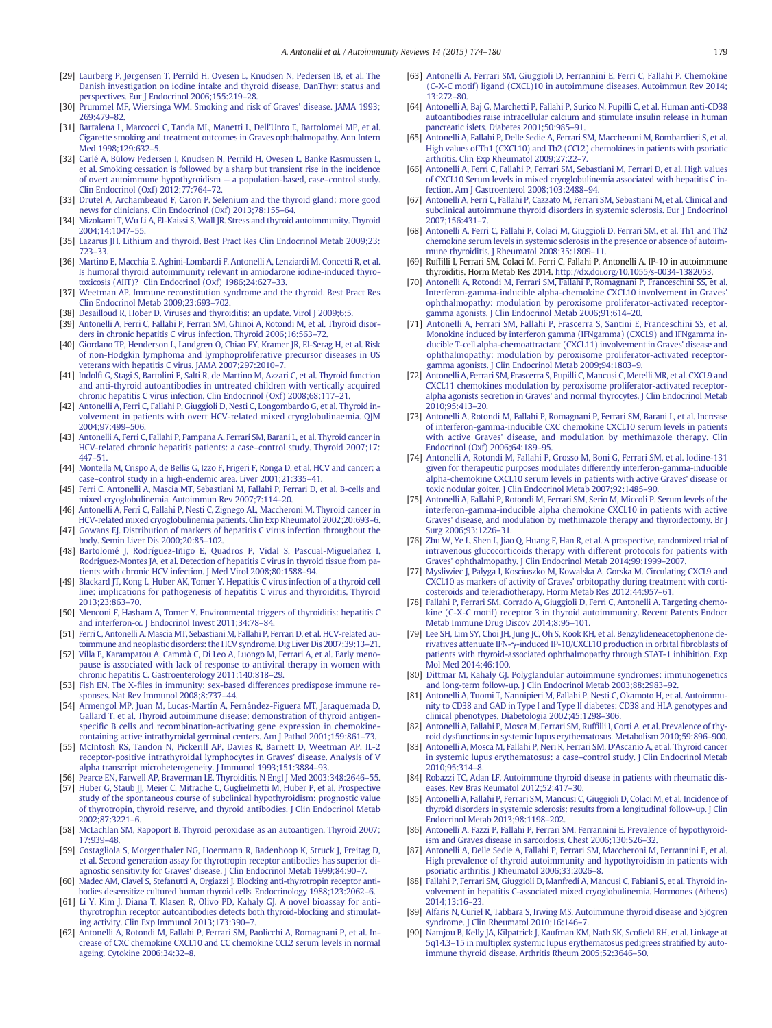- <span id="page-5-0"></span>[29] [Laurberg P, Jørgensen T, Perrild H, Ovesen L, Knudsen N, Pedersen IB, et al. The](http://refhub.elsevier.com/S1568-9972(14)00237-7/rf0135) [Danish investigation on iodine intake and thyroid disease, DanThyr: status and](http://refhub.elsevier.com/S1568-9972(14)00237-7/rf0135) [perspectives. Eur J Endocrinol 2006;155:219](http://refhub.elsevier.com/S1568-9972(14)00237-7/rf0135)–28.
- [30] [Prummel MF, Wiersinga WM. Smoking and risk of Graves' disease. JAMA 1993;](http://refhub.elsevier.com/S1568-9972(14)00237-7/rf0140) [269:479](http://refhub.elsevier.com/S1568-9972(14)00237-7/rf0140)–82.
- [31] [Bartalena L, Marcocci C, Tanda ML, Manetti L, Dell'Unto E, Bartolomei MP, et al.](http://refhub.elsevier.com/S1568-9972(14)00237-7/rf0145) [Cigarette smoking and treatment outcomes in Graves ophthalmopathy. Ann Intern](http://refhub.elsevier.com/S1568-9972(14)00237-7/rf0145) [Med 1998;129:632](http://refhub.elsevier.com/S1568-9972(14)00237-7/rf0145)–5.
- [32] [Carlé A, Bülow Pedersen I, Knudsen N, Perrild H, Ovesen L, Banke Rasmussen L,](http://refhub.elsevier.com/S1568-9972(14)00237-7/rf0150) [et al. Smoking cessation is followed by a sharp but transient rise in the incidence](http://refhub.elsevier.com/S1568-9972(14)00237-7/rf0150) [of overt autoimmune hypothyroidism](http://refhub.elsevier.com/S1568-9972(14)00237-7/rf0150) — a population-based, case–control study. [Clin Endocrinol \(Oxf\) 2012;77:764](http://refhub.elsevier.com/S1568-9972(14)00237-7/rf0150)–72.
- [33] [Drutel A, Archambeaud F, Caron P. Selenium and the thyroid gland: more good](http://refhub.elsevier.com/S1568-9972(14)00237-7/rf0155) [news for clinicians. Clin Endocrinol \(Oxf\) 2013;78:155](http://refhub.elsevier.com/S1568-9972(14)00237-7/rf0155)–64.
- [34] [Mizokami T, Wu Li A, El-Kaissi S, Wall JR. Stress and thyroid autoimmunity. Thyroid](http://refhub.elsevier.com/S1568-9972(14)00237-7/rf0160) [2004;14:1047](http://refhub.elsevier.com/S1568-9972(14)00237-7/rf0160)–55.
- [35] [Lazarus JH. Lithium and thyroid. Best Pract Res Clin Endocrinol Metab 2009;23:](http://refhub.elsevier.com/S1568-9972(14)00237-7/rf0165) [723](http://refhub.elsevier.com/S1568-9972(14)00237-7/rf0165)–33.
- [36] [Martino E, Macchia E, Aghini-Lombardi F, Antonelli A, Lenziardi M, Concetti R, et al.](http://refhub.elsevier.com/S1568-9972(14)00237-7/rf0170) [Is humoral thyroid autoimmunity relevant in amiodarone iodine-induced thyro](http://refhub.elsevier.com/S1568-9972(14)00237-7/rf0170)[toxicosis \(AIIT\)? Clin Endocrinol \(Oxf\) 1986;24:627](http://refhub.elsevier.com/S1568-9972(14)00237-7/rf0170)–33.
- [37] [Weetman AP. Immune reconstitution syndrome and the thyroid. Best Pract Res](http://refhub.elsevier.com/S1568-9972(14)00237-7/rf0175) [Clin Endocrinol Metab 2009;23:693](http://refhub.elsevier.com/S1568-9972(14)00237-7/rf0175)–702.
- [38] [Desailloud R, Hober D. Viruses and thyroiditis: an update. Virol J 2009;6:5.](http://refhub.elsevier.com/S1568-9972(14)00237-7/rf0180)
- [39] [Antonelli A, Ferri C, Fallahi P, Ferrari SM, Ghinoi A, Rotondi M, et al. Thyroid disor](http://refhub.elsevier.com/S1568-9972(14)00237-7/rf0185)[ders in chronic hepatitis C virus infection. Thyroid 2006;16:563](http://refhub.elsevier.com/S1568-9972(14)00237-7/rf0185)–72.
- [40] [Giordano TP, Henderson L, Landgren O, Chiao EY, Kramer JR, El-Serag H, et al. Risk](http://refhub.elsevier.com/S1568-9972(14)00237-7/rf0190) [of non-Hodgkin lymphoma and lymphoproliferative precursor diseases in US](http://refhub.elsevier.com/S1568-9972(14)00237-7/rf0190) [veterans with hepatitis C virus. JAMA 2007;297:2010](http://refhub.elsevier.com/S1568-9972(14)00237-7/rf0190)–7.
- [41] Indolfi [G, Stagi S, Bartolini E, Salti R, de Martino M, Azzari C, et al. Thyroid function](http://refhub.elsevier.com/S1568-9972(14)00237-7/rf0195) [and anti-thyroid autoantibodies in untreated children with vertically acquired](http://refhub.elsevier.com/S1568-9972(14)00237-7/rf0195) [chronic hepatitis C virus infection. Clin Endocrinol \(Oxf\) 2008;68:117](http://refhub.elsevier.com/S1568-9972(14)00237-7/rf0195)–21.
- [42] [Antonelli A, Ferri C, Fallahi P, Giuggioli D, Nesti C, Longombardo G, et al. Thyroid in](http://refhub.elsevier.com/S1568-9972(14)00237-7/rf0200)[volvement in patients with overt HCV-related mixed cryoglobulinaemia. QJM](http://refhub.elsevier.com/S1568-9972(14)00237-7/rf0200) [2004;97:499](http://refhub.elsevier.com/S1568-9972(14)00237-7/rf0200)–506.
- [43] [Antonelli A, Ferri C, Fallahi P, Pampana A, Ferrari SM, Barani L, et al. Thyroid cancer in](http://refhub.elsevier.com/S1568-9972(14)00237-7/rf0205) [HCV-related chronic hepatitis patients: a case](http://refhub.elsevier.com/S1568-9972(14)00237-7/rf0205)–control study. Thyroid 2007;17: [447](http://refhub.elsevier.com/S1568-9972(14)00237-7/rf0205)–51.
- [44] [Montella M, Crispo A, de Bellis G, Izzo F, Frigeri F, Ronga D, et al. HCV and cancer: a](http://refhub.elsevier.com/S1568-9972(14)00237-7/rf0210) case–[control study in a high-endemic area. Liver 2001;21:335](http://refhub.elsevier.com/S1568-9972(14)00237-7/rf0210)–41.
- [45] [Ferri C, Antonelli A, Mascia MT, Sebastiani M, Fallahi P, Ferrari D, et al. B-cells and](http://refhub.elsevier.com/S1568-9972(14)00237-7/rf0215) [mixed cryoglobulinemia. Autoimmun Rev 2007;7:114](http://refhub.elsevier.com/S1568-9972(14)00237-7/rf0215)–20.
- [46] [Antonelli A, Ferri C, Fallahi P, Nesti C, Zignego AL, Maccheroni M. Thyroid cancer in](http://refhub.elsevier.com/S1568-9972(14)00237-7/rf0220) [HCV-related mixed cryoglobulinemia patients. Clin Exp Rheumatol 2002;20:693](http://refhub.elsevier.com/S1568-9972(14)00237-7/rf0220)–6. [47] [Gowans EJ. Distribution of markers of hepatitis C virus infection throughout the](http://refhub.elsevier.com/S1568-9972(14)00237-7/rf0225)
- [body. Semin Liver Dis 2000;20:85](http://refhub.elsevier.com/S1568-9972(14)00237-7/rf0225)–102. [48] [Bartolomé J, Rodríguez-Iñigo E, Quadros P, Vidal S, Pascual-Miguelañez I,](http://refhub.elsevier.com/S1568-9972(14)00237-7/rf0230)
- [Rodríguez-Montes JA, et al. Detection of hepatitis C virus in thyroid tissue from pa](http://refhub.elsevier.com/S1568-9972(14)00237-7/rf0230)[tients with chronic HCV infection. J Med Virol 2008;80:1588](http://refhub.elsevier.com/S1568-9972(14)00237-7/rf0230)–94.
- [49] [Blackard JT, Kong L, Huber AK, Tomer Y. Hepatitis C virus infection of a thyroid cell](http://refhub.elsevier.com/S1568-9972(14)00237-7/rf0235) [line: implications for pathogenesis of hepatitis C virus and thyroiditis. Thyroid](http://refhub.elsevier.com/S1568-9972(14)00237-7/rf0235) [2013;23:863](http://refhub.elsevier.com/S1568-9972(14)00237-7/rf0235)–70.
- [50] [Menconi F, Hasham A, Tomer Y. Environmental triggers of thyroiditis: hepatitis C](http://refhub.elsevier.com/S1568-9972(14)00237-7/rf0240) and interferon-α[. J Endocrinol Invest 2011;34:78](http://refhub.elsevier.com/S1568-9972(14)00237-7/rf0240)–84.
- [51] [Ferri C, Antonelli A, Mascia MT, Sebastiani M, Fallahi P, Ferrari D, et al. HCV-related au](http://refhub.elsevier.com/S1568-9972(14)00237-7/rf0245)[toimmune and neoplastic disorders: the HCV syndrome. Dig Liver Dis 2007;39:13](http://refhub.elsevier.com/S1568-9972(14)00237-7/rf0245)–21.
- [52] [Villa E, Karampatou A, Cammà C, Di Leo A, Luongo M, Ferrari A, et al. Early meno](http://refhub.elsevier.com/S1568-9972(14)00237-7/rf0250)[pause is associated with lack of response to antiviral therapy in women with](http://refhub.elsevier.com/S1568-9972(14)00237-7/rf0250) [chronic hepatitis C. Gastroenterology 2011;140:818](http://refhub.elsevier.com/S1568-9972(14)00237-7/rf0250)–29.
- [53] Fish EN. The X-fi[les in immunity: sex-based differences predispose immune re](http://refhub.elsevier.com/S1568-9972(14)00237-7/rf0255)[sponses. Nat Rev Immunol 2008;8:737](http://refhub.elsevier.com/S1568-9972(14)00237-7/rf0255)–44.
- [54] [Armengol MP, Juan M, Lucas-Martín A, Fernández-Figuera MT, Jaraquemada D,](http://refhub.elsevier.com/S1568-9972(14)00237-7/rf0260) [Gallard T, et al. Thyroid autoimmune disease: demonstration of thyroid antigen](http://refhub.elsevier.com/S1568-9972(14)00237-7/rf0260)specifi[c B cells and recombination-activating gene expression in chemokine](http://refhub.elsevier.com/S1568-9972(14)00237-7/rf0260)[containing active intrathyroidal germinal centers. Am J Pathol 2001;159:861](http://refhub.elsevier.com/S1568-9972(14)00237-7/rf0260)–73.
- [55] [McIntosh RS, Tandon N, Pickerill AP, Davies R, Barnett D, Weetman AP. IL-2](http://refhub.elsevier.com/S1568-9972(14)00237-7/rf0265) [receptor-positive intrathyroidal lymphocytes in Graves' disease. Analysis of V](http://refhub.elsevier.com/S1568-9972(14)00237-7/rf0265) [alpha transcript microheterogeneity. J Immunol 1993;151:3884](http://refhub.elsevier.com/S1568-9972(14)00237-7/rf0265)–93.
- [Pearce EN, Farwell AP, Braverman LE. Thyroiditis. N Engl J Med 2003;348:2646](http://refhub.elsevier.com/S1568-9972(14)00237-7/rf0270)-55.
- [Huber G, Staub JJ, Meier C, Mitrache C, Guglielmetti M, Huber P, et al. Prospective](http://refhub.elsevier.com/S1568-9972(14)00237-7/rf0275) [study of the spontaneous course of subclinical hypothyroidism: prognostic value](http://refhub.elsevier.com/S1568-9972(14)00237-7/rf0275) [of thyrotropin, thyroid reserve, and thyroid antibodies. J Clin Endocrinol Metab](http://refhub.elsevier.com/S1568-9972(14)00237-7/rf0275) [2002;87:3221](http://refhub.elsevier.com/S1568-9972(14)00237-7/rf0275)–6.
- [58] [McLachlan SM, Rapoport B. Thyroid peroxidase as an autoantigen. Thyroid 2007;](http://refhub.elsevier.com/S1568-9972(14)00237-7/rf0280) [17:939](http://refhub.elsevier.com/S1568-9972(14)00237-7/rf0280)–48.
- [59] [Costagliola S, Morgenthaler NG, Hoermann R, Badenhoop K, Struck J, Freitag D,](http://refhub.elsevier.com/S1568-9972(14)00237-7/rf0285) [et al. Second generation assay for thyrotropin receptor antibodies has superior di](http://refhub.elsevier.com/S1568-9972(14)00237-7/rf0285)[agnostic sensitivity for Graves' disease. J Clin Endocrinol Metab 1999;84:90](http://refhub.elsevier.com/S1568-9972(14)00237-7/rf0285)–7.
- [60] [Madec AM, Clavel S, Stefanutti A, Orgiazzi J. Blocking anti-thyrotropin receptor anti](http://refhub.elsevier.com/S1568-9972(14)00237-7/rf0290)[bodies desensitize cultured human thyroid cells. Endocrinology 1988;123:2062](http://refhub.elsevier.com/S1568-9972(14)00237-7/rf0290)–6.
- [61] [Li Y, Kim J, Diana T, Klasen R, Olivo PD, Kahaly GJ. A novel bioassay for anti](http://refhub.elsevier.com/S1568-9972(14)00237-7/rf0295)[thyrotrophin receptor autoantibodies detects both thyroid-blocking and stimulat](http://refhub.elsevier.com/S1568-9972(14)00237-7/rf0295)[ing activity. Clin Exp Immunol 2013;173:390](http://refhub.elsevier.com/S1568-9972(14)00237-7/rf0295)–7.
- [62] [Antonelli A, Rotondi M, Fallahi P, Ferrari SM, Paolicchi A, Romagnani P, et al. In](http://refhub.elsevier.com/S1568-9972(14)00237-7/rf0300)[crease of CXC chemokine CXCL10 and CC chemokine CCL2 serum levels in normal](http://refhub.elsevier.com/S1568-9972(14)00237-7/rf0300) [ageing. Cytokine 2006;34:32](http://refhub.elsevier.com/S1568-9972(14)00237-7/rf0300)–8.
- [63] [Antonelli A, Ferrari SM, Giuggioli D, Ferrannini E, Ferri C, Fallahi P. Chemokine](http://refhub.elsevier.com/S1568-9972(14)00237-7/rf0305) [\(C-X-C motif\) ligand \(CXCL\)10 in autoimmune diseases. Autoimmun Rev 2014;](http://refhub.elsevier.com/S1568-9972(14)00237-7/rf0305) [13:272](http://refhub.elsevier.com/S1568-9972(14)00237-7/rf0305)–80.
- [64] [Antonelli A, Baj G, Marchetti P, Fallahi P, Surico N, Pupilli C, et al. Human anti-CD38](http://refhub.elsevier.com/S1568-9972(14)00237-7/rf0310) [autoantibodies raise intracellular calcium and stimulate insulin release in human](http://refhub.elsevier.com/S1568-9972(14)00237-7/rf0310) [pancreatic islets. Diabetes 2001;50:985](http://refhub.elsevier.com/S1568-9972(14)00237-7/rf0310)–91.
- [65] [Antonelli A, Fallahi P, Delle Sedie A, Ferrari SM, Maccheroni M, Bombardieri S, et al.](http://refhub.elsevier.com/S1568-9972(14)00237-7/rf0315) [High values of Th1 \(CXCL10\) and Th2 \(CCL2\) chemokines in patients with psoriatic](http://refhub.elsevier.com/S1568-9972(14)00237-7/rf0315) [arthritis. Clin Exp Rheumatol 2009;27:22](http://refhub.elsevier.com/S1568-9972(14)00237-7/rf0315)–7.
- [66] [Antonelli A, Ferri C, Fallahi P, Ferrari SM, Sebastiani M, Ferrari D, et al. High values](http://refhub.elsevier.com/S1568-9972(14)00237-7/rf0320) [of CXCL10 Serum levels in mixed cryoglobulinemia associated with hepatitis C in](http://refhub.elsevier.com/S1568-9972(14)00237-7/rf0320)[fection. Am J Gastroenterol 2008;103:2488](http://refhub.elsevier.com/S1568-9972(14)00237-7/rf0320)–94.
- [67] [Antonelli A, Ferri C, Fallahi P, Cazzato M, Ferrari SM, Sebastiani M, et al. Clinical and](http://refhub.elsevier.com/S1568-9972(14)00237-7/rf0325) [subclinical autoimmune thyroid disorders in systemic sclerosis. Eur J Endocrinol](http://refhub.elsevier.com/S1568-9972(14)00237-7/rf0325) [2007;156:431](http://refhub.elsevier.com/S1568-9972(14)00237-7/rf0325)–7.
- [68] [Antonelli A, Ferri C, Fallahi P, Colaci M, Giuggioli D, Ferrari SM, et al. Th1 and Th2](http://refhub.elsevier.com/S1568-9972(14)00237-7/rf0330) [chemokine serum levels in systemic sclerosis in the presence or absence of autoim](http://refhub.elsevier.com/S1568-9972(14)00237-7/rf0330)[mune thyroiditis. J Rheumatol 2008;35:1809](http://refhub.elsevier.com/S1568-9972(14)00237-7/rf0330)-11.
- [69] Ruffilli I, Ferrari SM, Colaci M, Ferri C, Fallahi P, Antonelli A. IP-10 in autoimmune thyroiditis. Horm Metab Res 2014. <http://dx.doi.org/10.1055/s-0034-1382053>.
- [70] [Antonelli A, Rotondi M, Ferrari SM, Fallahi P, Romagnani P, Franceschini SS, et al.](http://refhub.elsevier.com/S1568-9972(14)00237-7/rf0340) [Interferon-gamma-inducible alpha-chemokine CXCL10 involvement in Graves'](http://refhub.elsevier.com/S1568-9972(14)00237-7/rf0340) [ophthalmopathy: modulation by peroxisome proliferator-activated receptor](http://refhub.elsevier.com/S1568-9972(14)00237-7/rf0340)[gamma agonists. J Clin Endocrinol Metab 2006;91:614](http://refhub.elsevier.com/S1568-9972(14)00237-7/rf0340)–20.
- [71] [Antonelli A, Ferrari SM, Fallahi P, Frascerra S, Santini E, Franceschini SS, et al.](http://refhub.elsevier.com/S1568-9972(14)00237-7/rf0345) [Monokine induced by interferon gamma \(IFNgamma\) \(CXCL9\) and IFNgamma in](http://refhub.elsevier.com/S1568-9972(14)00237-7/rf0345)[ducible T-cell alpha-chemoattractant \(CXCL11\) involvement in Graves' disease and](http://refhub.elsevier.com/S1568-9972(14)00237-7/rf0345) [ophthalmopathy: modulation by peroxisome proliferator-activated receptor](http://refhub.elsevier.com/S1568-9972(14)00237-7/rf0345)[gamma agonists. J Clin Endocrinol Metab 2009;94:1803](http://refhub.elsevier.com/S1568-9972(14)00237-7/rf0345)–9.
- [72] [Antonelli A, Ferrari SM, Frascerra S, Pupilli C, Mancusi C, Metelli MR, et al. CXCL9 and](http://refhub.elsevier.com/S1568-9972(14)00237-7/rf0350) [CXCL11 chemokines modulation by peroxisome proliferator-activated receptor](http://refhub.elsevier.com/S1568-9972(14)00237-7/rf0350)[alpha agonists secretion in Graves' and normal thyrocytes. J Clin Endocrinol Metab](http://refhub.elsevier.com/S1568-9972(14)00237-7/rf0350) [2010;95:413](http://refhub.elsevier.com/S1568-9972(14)00237-7/rf0350)–20.
- [73] [Antonelli A, Rotondi M, Fallahi P, Romagnani P, Ferrari SM, Barani L, et al. Increase](http://refhub.elsevier.com/S1568-9972(14)00237-7/rf0355) [of interferon-gamma-inducible CXC chemokine CXCL10 serum levels in patients](http://refhub.elsevier.com/S1568-9972(14)00237-7/rf0355) [with active Graves' disease, and modulation by methimazole therapy. Clin](http://refhub.elsevier.com/S1568-9972(14)00237-7/rf0355) [Endocrinol \(Oxf\) 2006;64:189](http://refhub.elsevier.com/S1568-9972(14)00237-7/rf0355)–95.
- [74] [Antonelli A, Rotondi M, Fallahi P, Grosso M, Boni G, Ferrari SM, et al. Iodine-131](http://refhub.elsevier.com/S1568-9972(14)00237-7/rf0360) [given for therapeutic purposes modulates differently interferon-gamma-inducible](http://refhub.elsevier.com/S1568-9972(14)00237-7/rf0360) [alpha-chemokine CXCL10 serum levels in patients with active Graves' disease or](http://refhub.elsevier.com/S1568-9972(14)00237-7/rf0360) [toxic nodular goiter. J Clin Endocrinol Metab 2007;92:1485](http://refhub.elsevier.com/S1568-9972(14)00237-7/rf0360)–90.
- [75] [Antonelli A, Fallahi P, Rotondi M, Ferrari SM, Serio M, Miccoli P. Serum levels of the](http://refhub.elsevier.com/S1568-9972(14)00237-7/rf0365) [interferon-gamma-inducible alpha chemokine CXCL10 in patients with active](http://refhub.elsevier.com/S1568-9972(14)00237-7/rf0365) [Graves' disease, and modulation by methimazole therapy and thyroidectomy. Br J](http://refhub.elsevier.com/S1568-9972(14)00237-7/rf0365) [Surg 2006;93:1226](http://refhub.elsevier.com/S1568-9972(14)00237-7/rf0365)–31.
- [76] [Zhu W, Ye L, Shen L, Jiao Q, Huang F, Han R, et al. A prospective, randomized trial of](http://refhub.elsevier.com/S1568-9972(14)00237-7/rf0370) [intravenous glucocorticoids therapy with different protocols for patients with](http://refhub.elsevier.com/S1568-9972(14)00237-7/rf0370) [Graves' ophthalmopathy. J Clin Endocrinol Metab 2014;99:1999](http://refhub.elsevier.com/S1568-9972(14)00237-7/rf0370)–2007.
- [77] Mysliwiec J, Palyga I, Kosciuszko M, Kowalska A, Gorska M, Circulating CXCL9 and [CXCL10 as markers of activity of Graves' orbitopathy during treatment with corti](http://refhub.elsevier.com/S1568-9972(14)00237-7/rf0375)[costeroids and teleradiotherapy. Horm Metab Res 2012;44:957](http://refhub.elsevier.com/S1568-9972(14)00237-7/rf0375)–61.
- [78] [Fallahi P, Ferrari SM, Corrado A, Giuggioli D, Ferri C, Antonelli A. Targeting chemo](http://refhub.elsevier.com/S1568-9972(14)00237-7/rf0505)[kine \(C-X-C motif\) receptor 3 in thyroid autoimmunity. Recent Patents Endocr](http://refhub.elsevier.com/S1568-9972(14)00237-7/rf0505) [Metab Immune Drug Discov 2014;8:95](http://refhub.elsevier.com/S1568-9972(14)00237-7/rf0505)–101.
- [79] [Lee SH, Lim SY, Choi JH, Jung JC, Oh S, Kook KH, et al. Benzylideneacetophenone de](http://refhub.elsevier.com/S1568-9972(14)00237-7/rf0380)rivatives attenuate IFN-γ[-induced IP-10/CXCL10 production in orbital](http://refhub.elsevier.com/S1568-9972(14)00237-7/rf0380) fibroblasts of [patients with thyroid-associated ophthalmopathy through STAT-1 inhibition. Exp](http://refhub.elsevier.com/S1568-9972(14)00237-7/rf0380) [Mol Med 2014;46:100.](http://refhub.elsevier.com/S1568-9972(14)00237-7/rf0380)
- [80] [Dittmar M, Kahaly GJ. Polyglandular autoimmune syndromes: immunogenetics](http://refhub.elsevier.com/S1568-9972(14)00237-7/rf0385) [and long-term follow-up. J Clin Endocrinol Metab 2003;88:2983](http://refhub.elsevier.com/S1568-9972(14)00237-7/rf0385)–92.
- [81] [Antonelli A, Tuomi T, Nannipieri M, Fallahi P, Nesti C, Okamoto H, et al. Autoimmu](http://refhub.elsevier.com/S1568-9972(14)00237-7/rf0390)[nity to CD38 and GAD in Type I and Type II diabetes: CD38 and HLA genotypes and](http://refhub.elsevier.com/S1568-9972(14)00237-7/rf0390) [clinical phenotypes. Diabetologia 2002;45:1298](http://refhub.elsevier.com/S1568-9972(14)00237-7/rf0390)–306.
- [82] [Antonelli A, Fallahi P, Mosca M, Ferrari SM, Ruf](http://refhub.elsevier.com/S1568-9972(14)00237-7/rf0395)filli I, Corti A, et al. Prevalence of thy[roid dysfunctions in systemic lupus erythematosus. Metabolism 2010;59:896](http://refhub.elsevier.com/S1568-9972(14)00237-7/rf0395)–900.
- [83] [Antonelli A, Mosca M, Fallahi P, Neri R, Ferrari SM, D'Ascanio A, et al. Thyroid cancer](http://refhub.elsevier.com/S1568-9972(14)00237-7/rf0400) [in systemic lupus erythematosus: a case](http://refhub.elsevier.com/S1568-9972(14)00237-7/rf0400)–control study. J Clin Endocrinol Metab [2010;95:314](http://refhub.elsevier.com/S1568-9972(14)00237-7/rf0400)–8.
- [84] [Robazzi TC, Adan LF. Autoimmune thyroid disease in patients with rheumatic dis](http://refhub.elsevier.com/S1568-9972(14)00237-7/rf0405)[eases. Rev Bras Reumatol 2012;52:417](http://refhub.elsevier.com/S1568-9972(14)00237-7/rf0405)–30.
- [85] [Antonelli A, Fallahi P, Ferrari SM, Mancusi C, Giuggioli D, Colaci M, et al. Incidence of](http://refhub.elsevier.com/S1568-9972(14)00237-7/rf0410) [thyroid disorders in systemic sclerosis: results from a longitudinal follow-up. J Clin](http://refhub.elsevier.com/S1568-9972(14)00237-7/rf0410) [Endocrinol Metab 2013;98:1198](http://refhub.elsevier.com/S1568-9972(14)00237-7/rf0410)–202.
- [86] [Antonelli A, Fazzi P, Fallahi P, Ferrari SM, Ferrannini E. Prevalence of hypothyroid](http://refhub.elsevier.com/S1568-9972(14)00237-7/rf0415)[ism and Graves disease in sarcoidosis. Chest 2006;130:526](http://refhub.elsevier.com/S1568-9972(14)00237-7/rf0415)–32.
- [87] [Antonelli A, Delle Sedie A, Fallahi P, Ferrari SM, Maccheroni M, Ferrannini E, et al.](http://refhub.elsevier.com/S1568-9972(14)00237-7/rf0420) [High prevalence of thyroid autoimmunity and hypothyroidism in patients with](http://refhub.elsevier.com/S1568-9972(14)00237-7/rf0420) [psoriatic arthritis. J Rheumatol 2006;33:2026](http://refhub.elsevier.com/S1568-9972(14)00237-7/rf0420)–8.
- [88] [Fallahi P, Ferrari SM, Giuggioli D, Manfredi A, Mancusi C, Fabiani S, et al. Thyroid in](http://refhub.elsevier.com/S1568-9972(14)00237-7/rf0425)[volvement in hepatitis C-associated mixed cryoglobulinemia. Hormones \(Athens\)](http://refhub.elsevier.com/S1568-9972(14)00237-7/rf0425) [2014;13:16](http://refhub.elsevier.com/S1568-9972(14)00237-7/rf0425)–23.
- [89] [Alfaris N, Curiel R, Tabbara S, Irwing MS. Autoimmune thyroid disease and Sjögren](http://refhub.elsevier.com/S1568-9972(14)00237-7/rf0430) [syndrome. J Clin Rheumatol 2010;16:146](http://refhub.elsevier.com/S1568-9972(14)00237-7/rf0430)–7.
- [90] [Namjou B, Kelly JA, Kilpatrick J, Kaufman KM, Nath SK, Sco](http://refhub.elsevier.com/S1568-9972(14)00237-7/rf0435)field RH, et al. Linkage at 5q14.3–[15 in multiplex systemic lupus erythematosus pedigrees strati](http://refhub.elsevier.com/S1568-9972(14)00237-7/rf0435)fied by auto[immune thyroid disease. Arthritis Rheum 2005;52:3646](http://refhub.elsevier.com/S1568-9972(14)00237-7/rf0435)–50.